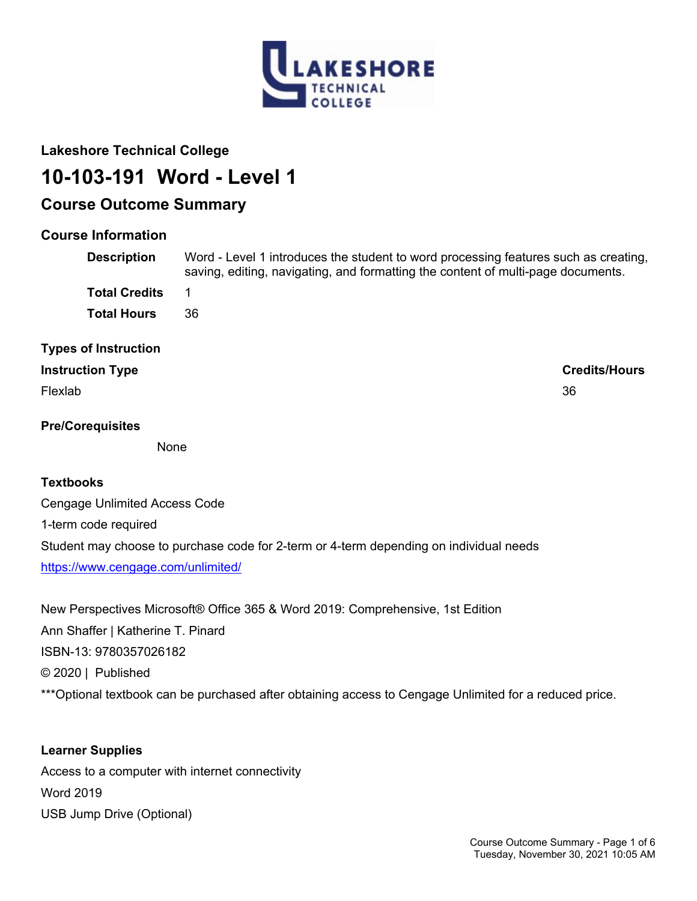

## **Lakeshore Technical College**

# **10-103-191 Word - Level 1**

## **Course Outcome Summary**

## **Course Information**

| <b>Description</b>          | Word - Level 1 introduces the student to word processing features such as creating,<br>saving, editing, navigating, and formatting the content of multi-page documents. |
|-----------------------------|-------------------------------------------------------------------------------------------------------------------------------------------------------------------------|
| <b>Total Credits</b>        | 1                                                                                                                                                                       |
| <b>Total Hours</b>          | 36                                                                                                                                                                      |
| <b>Types of Instruction</b> |                                                                                                                                                                         |
| <b>Instruction Type</b>     | <b>Credits/Hours</b>                                                                                                                                                    |
| Flexlab                     | 36                                                                                                                                                                      |
| <b>Pre/Corequisites</b>     |                                                                                                                                                                         |

**None** 

## **Textbooks**

Cengage Unlimited Access Code 1-term code required Student may choose to purchase code for 2-term or 4-term depending on individual needs <https://www.cengage.com/unlimited/>

New Perspectives Microsoft® Office 365 & Word 2019: Comprehensive, 1st Edition Ann Shaffer | Katherine T. Pinard ISBN-13: 9780357026182 © 2020 | Published \*\*\* Optional textbook can be purchased after obtaining access to Cengage Unlimited for a reduced price.

## **Learner Supplies** Access to a computer with internet connectivity Word 2019 USB Jump Drive (Optional)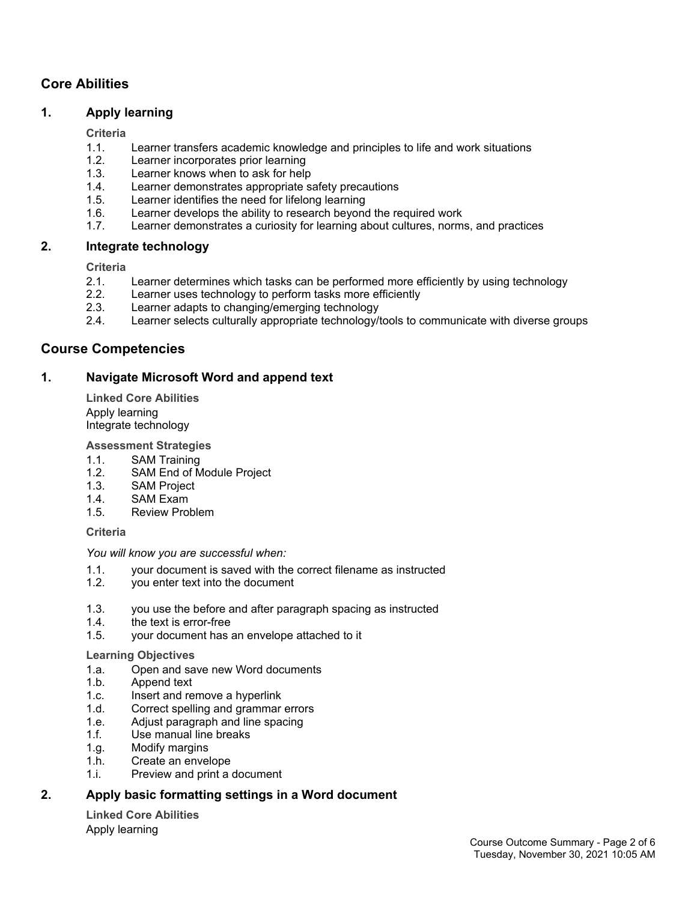## **Core Abilities**

#### **1. Apply learning**

#### **Criteria**

- 1.1. Learner transfers academic knowledge and principles to life and work situations
- 1.2. Learner incorporates prior learning
- 1.3. Learner knows when to ask for help
- 1.4. Learner demonstrates appropriate safety precautions<br>1.5. Learner identifies the need for lifelong learning
- Learner identifies the need for lifelong learning
- 1.6. Learner develops the ability to research beyond the required work
- 1.7. Learner demonstrates a curiosity for learning about cultures, norms, and practices

#### **2. Integrate technology**

#### **Criteria**

- 2.1. Learner determines which tasks can be performed more efficiently by using technology
- 2.2. Learner uses technology to perform tasks more efficiently
- 2.3. Learner adapts to changing/emerging technology
- 2.4. Learner selects culturally appropriate technology/tools to communicate with diverse groups

#### **Course Competencies**

#### **1. Navigate Microsoft Word and append text**

**Linked Core Abilities** Apply learning Integrate technology

#### **Assessment Strategies**

- 1.1. SAM Training
- 1.2. SAM End of Module Project
- 1.3. SAM Project
- 1.4. SAM Exam
- 1.5. Review Problem

#### **Criteria**

#### *You will know you are successful when:*

- 1.1. your document is saved with the correct filename as instructed
- 1.2. you enter text into the document
- 1.3. you use the before and after paragraph spacing as instructed
- 1.4. the text is error-free
- 1.5. your document has an envelope attached to it

#### **Learning Objectives**

- 1.a. Open and save new Word documents
- 1.b. Append text
- 1.c. Insert and remove a hyperlink
- 1.d. Correct spelling and grammar errors
- 1.e. Adjust paragraph and line spacing
- 1.f. Use manual line breaks
- 1.g. Modify margins
- 1.h. Create an envelope
- 1.i. Preview and print a document

## **2. Apply basic formatting settings in a Word document**

**Linked Core Abilities** Apply learning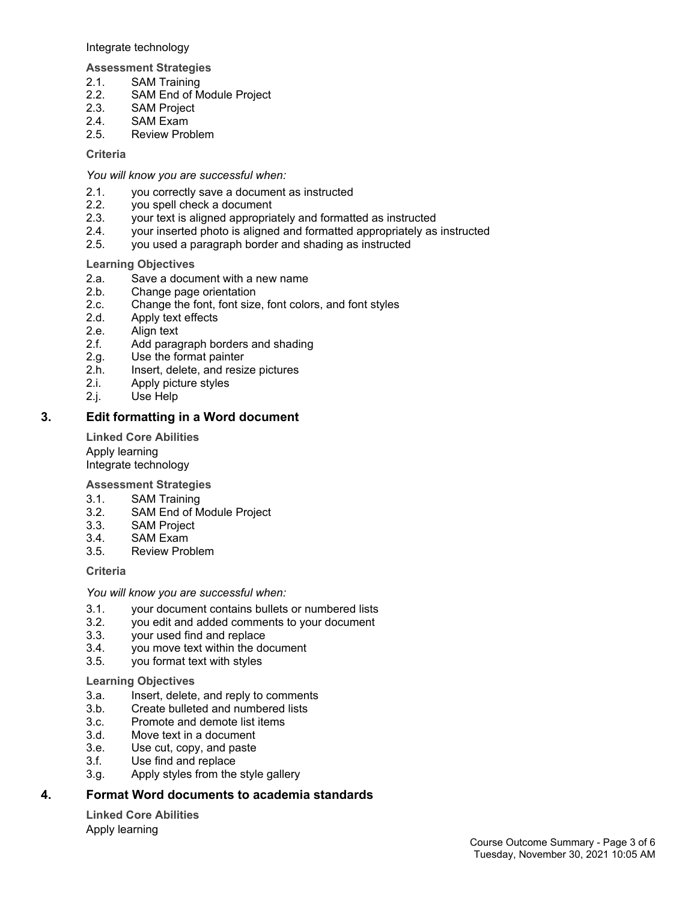Integrate technology

**Assessment Strategies**

- 2.1. SAM Training<br>2.2. SAM End of M
- 2.2. SAM End of Module Project<br>2.3. SAM Project
- SAM Project
- 2.4. SAM Exam
- 2.5. Review Problem

**Criteria**

*You will know you are successful when:*

- 2.1. you correctly save a document as instructed
- 2.2. you spell check a document
- 2.3. your text is aligned appropriately and formatted as instructed
- 2.4. your inserted photo is aligned and formatted appropriately as instructed
- 2.5. you used a paragraph border and shading as instructed

#### **Learning Objectives**

- 2.a. Save a document with a new name<br>2.b. Change page orientation
- Change page orientation
- 2.c. Change the font, font size, font colors, and font styles
- 2.d. Apply text effects
- 2.e. Align text
- 2.f. Add paragraph borders and shading
- 2.g. Use the format painter
- 2.h. Insert, delete, and resize pictures<br>2.i. Apply picture styles
- Apply picture styles
- 2.j. Use Help

#### **3. Edit formatting in a Word document**

**Linked Core Abilities** Apply learning Integrate technology

**Assessment Strategies**

- 3.1. SAM Training
- 3.2. SAM End of Module Project
- 3.3. SAM Project
- 3.4. SAM Exam<br>3.5. Review Pro
- Review Problem

#### **Criteria**

*You will know you are successful when:*

- 3.1. your document contains bullets or numbered lists
- 3.2. you edit and added comments to your document
- 3.3. your used find and replace
- 3.4. you move text within the document
- 3.5. you format text with styles

#### **Learning Objectives**

- 3.a. Insert, delete, and reply to comments
- 3.b. Create bulleted and numbered lists
- 3.c. Promote and demote list items
- 3.d. Move text in a document
- 3.e. Use cut, copy, and paste
- 3.f. Use find and replace
- 3.g. Apply styles from the style gallery

## **4. Format Word documents to academia standards**

**Linked Core Abilities** Apply learning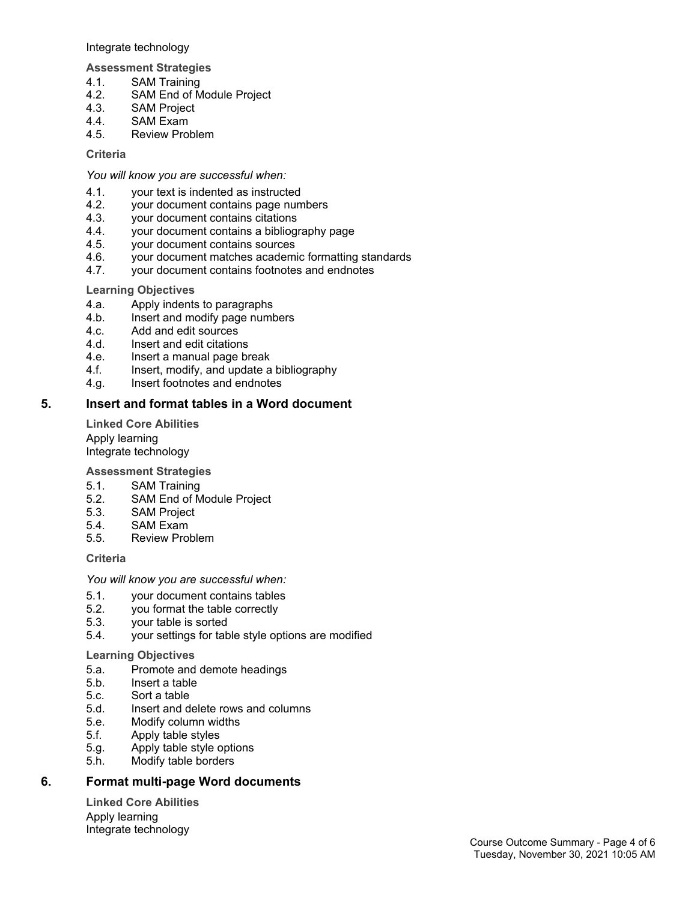Integrate technology

**Assessment Strategies**

- 4.1. SAM Training<br>4.2. SAM End of M
- SAM End of Module Project
- 4.3. SAM Project
- 4.4. SAM Exam
- 4.5. Review Problem

**Criteria**

*You will know you are successful when:*

- 4.1. your text is indented as instructed
- 4.2. your document contains page numbers
- 4.3. your document contains citations
- 4.4. your document contains a bibliography page<br>4.5. vour document contains sources
- 4.5. your document contains sources<br>4.6. vour document matches academ
- your document matches academic formatting standards
- 4.7. your document contains footnotes and endnotes

#### **Learning Objectives**

- 4.a. Apply indents to paragraphs
- 4.b. Insert and modify page numbers
- 4.c. Add and edit sources
- 4.d. Insert and edit citations
- 4.e. Insert a manual page break
- 4.f. Insert, modify, and update a bibliography
- 4.g. Insert footnotes and endnotes

#### **5. Insert and format tables in a Word document**

**Linked Core Abilities** Apply learning Integrate technology

**Assessment Strategies**

- 5.1. SAM Training
- 5.2. SAM End of Module Project
- 5.3. SAM Project
- 5.4. SAM Exam
- 5.5. Review Problem

#### **Criteria**

*You will know you are successful when:*

- 5.1. your document contains tables
- 5.2. you format the table correctly
- 5.3. your table is sorted
- 5.4. your settings for table style options are modified

#### **Learning Objectives**

- 5.a. Promote and demote headings
- 5.b. Insert a table
- 5.c. Sort a table
- 5.d. Insert and delete rows and columns
- 5.e. Modify column widths
- 5.f. Apply table styles
- 5.g. Apply table style options
- 5.h. Modify table borders

## **6. Format multi-page Word documents**

**Linked Core Abilities** Apply learning Integrate technology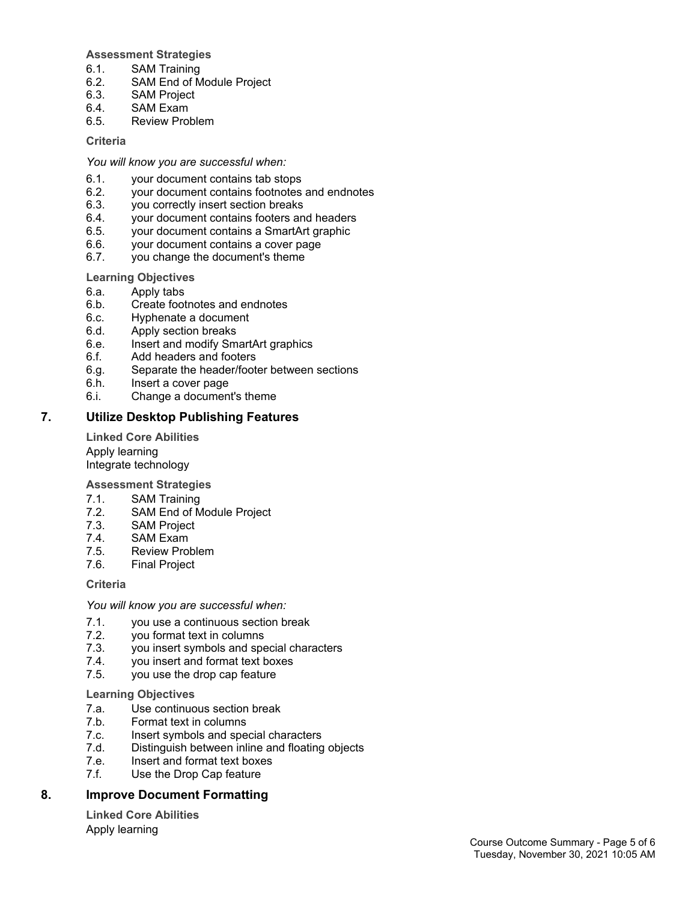#### **Assessment Strategies**

- 6.1. SAM Training
- 6.2. SAM End of Module Project
- 6.3. SAM Project
- 6.4. SAM Exam
- 6.5. Review Problem

#### **Criteria**

*You will know you are successful when:*

- 6.1. your document contains tab stops
- 6.2. your document contains footnotes and endnotes
- 6.3. you correctly insert section breaks
- 6.4. your document contains footers and headers
- 6.5. your document contains a SmartArt graphic
- 6.6. your document contains a cover page
- 6.7. you change the document's theme

#### **Learning Objectives**

- 6.a. Apply tabs
- 6.b. Create footnotes and endnotes
- 6.c. Hyphenate a document
- 6.d. Apply section breaks
- 6.e. Insert and modify SmartArt graphics
- 6.f. Add headers and footers
- 6.g. Separate the header/footer between sections
- 6.h. Insert a cover page
- 6.i. Change a document's theme

#### **7. Utilize Desktop Publishing Features**

**Linked Core Abilities** Apply learning Integrate technology

**Assessment Strategies**

- 7.1. SAM Training
- 7.2. SAM End of Module Project
- 7.3. SAM Project
- 7.4. SAM Exam<br>7.5. Review Pro
- Review Problem
- 7.6. Final Project

#### **Criteria**

*You will know you are successful when:*

- 7.1. you use a continuous section break
- 7.2. you format text in columns
- 7.3. you insert symbols and special characters
- 7.4. you insert and format text boxes
- 7.5. you use the drop cap feature

#### **Learning Objectives**

- 7.a. Use continuous section break
- 7.b. Format text in columns
- 7.c. Insert symbols and special characters
- 7.d. Distinguish between inline and floating objects
- 7.e. Insert and format text boxes
- 7.f. Use the Drop Cap feature

## **8. Improve Document Formatting**

**Linked Core Abilities** Apply learning